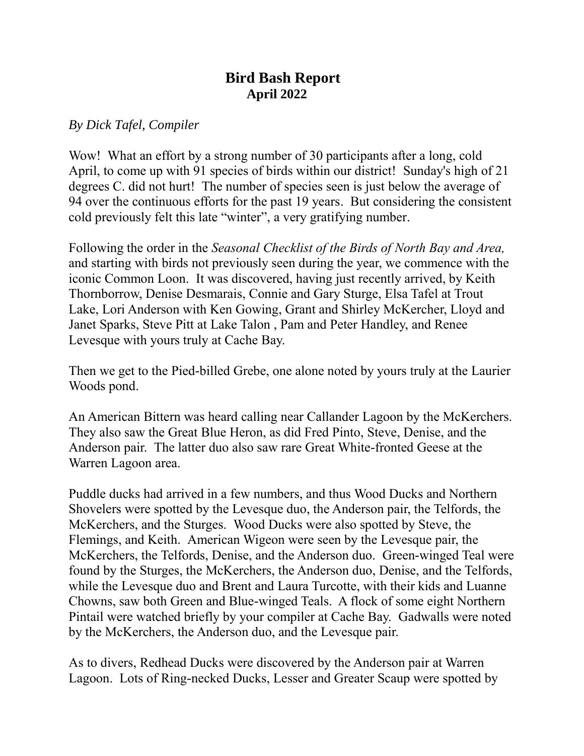## **Bird Bash Report April 2022**

## *By Dick Tafel, Compiler*

Wow! What an effort by a strong number of 30 participants after a long, cold April, to come up with 91 species of birds within our district! Sunday's high of 21 degrees C. did not hurt! The number of species seen is just below the average of 94 over the continuous efforts for the past 19 years. But considering the consistent cold previously felt this late "winter", a very gratifying number.

Following the order in the *Seasonal Checklist of the Birds of North Bay and Area,* and starting with birds not previously seen during the year, we commence with the iconic Common Loon. It was discovered, having just recently arrived, by Keith Thornborrow, Denise Desmarais, Connie and Gary Sturge, Elsa Tafel at Trout Lake, Lori Anderson with Ken Gowing, Grant and Shirley McKercher, Lloyd and Janet Sparks, Steve Pitt at Lake Talon , Pam and Peter Handley, and Renee Levesque with yours truly at Cache Bay.

Then we get to the Pied-billed Grebe, one alone noted by yours truly at the Laurier Woods pond.

An American Bittern was heard calling near Callander Lagoon by the McKerchers. They also saw the Great Blue Heron, as did Fred Pinto, Steve, Denise, and the Anderson pair. The latter duo also saw rare Great White-fronted Geese at the Warren Lagoon area.

Puddle ducks had arrived in a few numbers, and thus Wood Ducks and Northern Shovelers were spotted by the Levesque duo, the Anderson pair, the Telfords, the McKerchers, and the Sturges. Wood Ducks were also spotted by Steve, the Flemings, and Keith. American Wigeon were seen by the Levesque pair, the McKerchers, the Telfords, Denise, and the Anderson duo. Green-winged Teal were found by the Sturges, the McKerchers, the Anderson duo, Denise, and the Telfords, while the Levesque duo and Brent and Laura Turcotte, with their kids and Luanne Chowns, saw both Green and Blue-winged Teals. A flock of some eight Northern Pintail were watched briefly by your compiler at Cache Bay. Gadwalls were noted by the McKerchers, the Anderson duo, and the Levesque pair.

As to divers, Redhead Ducks were discovered by the Anderson pair at Warren Lagoon. Lots of Ring-necked Ducks, Lesser and Greater Scaup were spotted by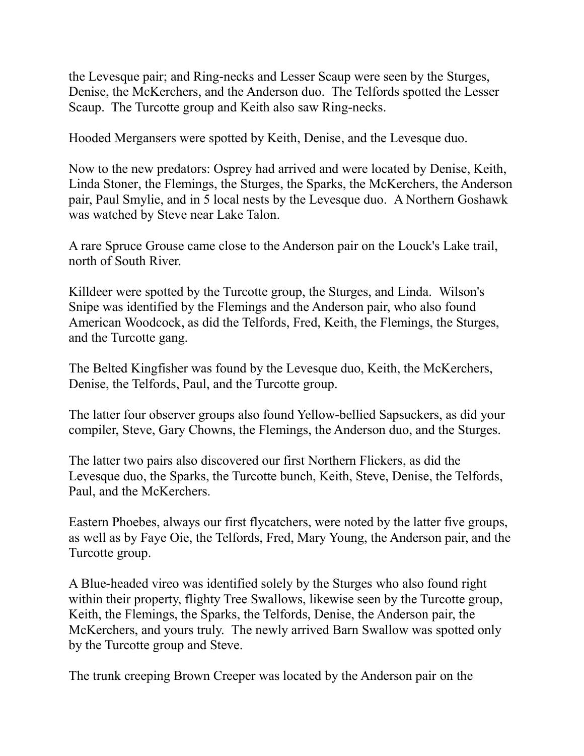the Levesque pair; and Ring-necks and Lesser Scaup were seen by the Sturges, Denise, the McKerchers, and the Anderson duo. The Telfords spotted the Lesser Scaup. The Turcotte group and Keith also saw Ring-necks.

Hooded Mergansers were spotted by Keith, Denise, and the Levesque duo.

Now to the new predators: Osprey had arrived and were located by Denise, Keith, Linda Stoner, the Flemings, the Sturges, the Sparks, the McKerchers, the Anderson pair, Paul Smylie, and in 5 local nests by the Levesque duo. A Northern Goshawk was watched by Steve near Lake Talon.

A rare Spruce Grouse came close to the Anderson pair on the Louck's Lake trail, north of South River.

Killdeer were spotted by the Turcotte group, the Sturges, and Linda. Wilson's Snipe was identified by the Flemings and the Anderson pair, who also found American Woodcock, as did the Telfords, Fred, Keith, the Flemings, the Sturges, and the Turcotte gang.

The Belted Kingfisher was found by the Levesque duo, Keith, the McKerchers, Denise, the Telfords, Paul, and the Turcotte group.

The latter four observer groups also found Yellow-bellied Sapsuckers, as did your compiler, Steve, Gary Chowns, the Flemings, the Anderson duo, and the Sturges.

The latter two pairs also discovered our first Northern Flickers, as did the Levesque duo, the Sparks, the Turcotte bunch, Keith, Steve, Denise, the Telfords, Paul, and the McKerchers.

Eastern Phoebes, always our first flycatchers, were noted by the latter five groups, as well as by Faye Oie, the Telfords, Fred, Mary Young, the Anderson pair, and the Turcotte group.

A Blue-headed vireo was identified solely by the Sturges who also found right within their property, flighty Tree Swallows, likewise seen by the Turcotte group, Keith, the Flemings, the Sparks, the Telfords, Denise, the Anderson pair, the McKerchers, and yours truly. The newly arrived Barn Swallow was spotted only by the Turcotte group and Steve.

The trunk creeping Brown Creeper was located by the Anderson pair on the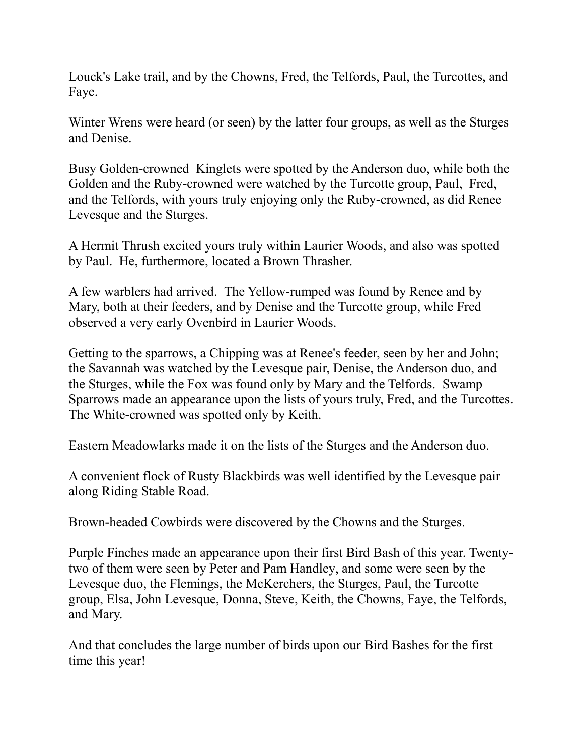Louck's Lake trail, and by the Chowns, Fred, the Telfords, Paul, the Turcottes, and Faye.

Winter Wrens were heard (or seen) by the latter four groups, as well as the Sturges and Denise.

Busy Golden-crowned Kinglets were spotted by the Anderson duo, while both the Golden and the Ruby-crowned were watched by the Turcotte group, Paul, Fred, and the Telfords, with yours truly enjoying only the Ruby-crowned, as did Renee Levesque and the Sturges.

A Hermit Thrush excited yours truly within Laurier Woods, and also was spotted by Paul. He, furthermore, located a Brown Thrasher.

A few warblers had arrived. The Yellow-rumped was found by Renee and by Mary, both at their feeders, and by Denise and the Turcotte group, while Fred observed a very early Ovenbird in Laurier Woods.

Getting to the sparrows, a Chipping was at Renee's feeder, seen by her and John; the Savannah was watched by the Levesque pair, Denise, the Anderson duo, and the Sturges, while the Fox was found only by Mary and the Telfords. Swamp Sparrows made an appearance upon the lists of yours truly, Fred, and the Turcottes. The White-crowned was spotted only by Keith.

Eastern Meadowlarks made it on the lists of the Sturges and the Anderson duo.

A convenient flock of Rusty Blackbirds was well identified by the Levesque pair along Riding Stable Road.

Brown-headed Cowbirds were discovered by the Chowns and the Sturges.

Purple Finches made an appearance upon their first Bird Bash of this year. Twentytwo of them were seen by Peter and Pam Handley, and some were seen by the Levesque duo, the Flemings, the McKerchers, the Sturges, Paul, the Turcotte group, Elsa, John Levesque, Donna, Steve, Keith, the Chowns, Faye, the Telfords, and Mary.

And that concludes the large number of birds upon our Bird Bashes for the first time this year!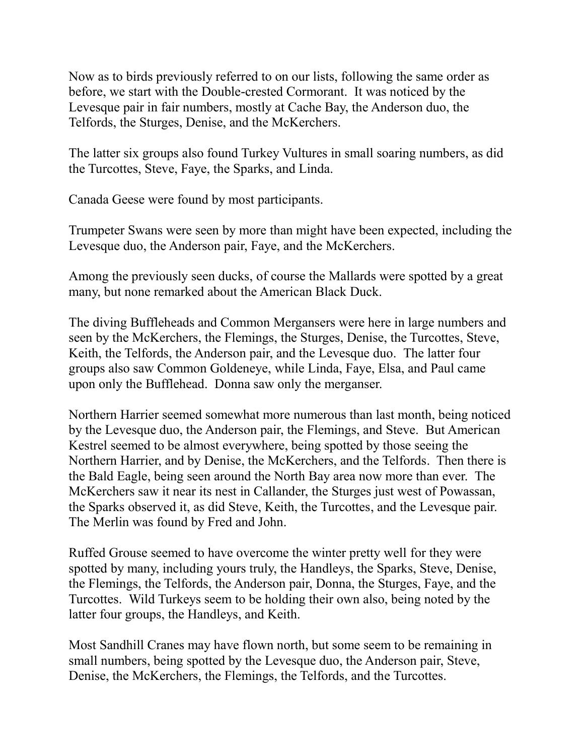Now as to birds previously referred to on our lists, following the same order as before, we start with the Double-crested Cormorant. It was noticed by the Levesque pair in fair numbers, mostly at Cache Bay, the Anderson duo, the Telfords, the Sturges, Denise, and the McKerchers.

The latter six groups also found Turkey Vultures in small soaring numbers, as did the Turcottes, Steve, Faye, the Sparks, and Linda.

Canada Geese were found by most participants.

Trumpeter Swans were seen by more than might have been expected, including the Levesque duo, the Anderson pair, Faye, and the McKerchers.

Among the previously seen ducks, of course the Mallards were spotted by a great many, but none remarked about the American Black Duck.

The diving Buffleheads and Common Mergansers were here in large numbers and seen by the McKerchers, the Flemings, the Sturges, Denise, the Turcottes, Steve, Keith, the Telfords, the Anderson pair, and the Levesque duo. The latter four groups also saw Common Goldeneye, while Linda, Faye, Elsa, and Paul came upon only the Bufflehead. Donna saw only the merganser.

Northern Harrier seemed somewhat more numerous than last month, being noticed by the Levesque duo, the Anderson pair, the Flemings, and Steve. But American Kestrel seemed to be almost everywhere, being spotted by those seeing the Northern Harrier, and by Denise, the McKerchers, and the Telfords. Then there is the Bald Eagle, being seen around the North Bay area now more than ever. The McKerchers saw it near its nest in Callander, the Sturges just west of Powassan, the Sparks observed it, as did Steve, Keith, the Turcottes, and the Levesque pair. The Merlin was found by Fred and John.

Ruffed Grouse seemed to have overcome the winter pretty well for they were spotted by many, including yours truly, the Handleys, the Sparks, Steve, Denise, the Flemings, the Telfords, the Anderson pair, Donna, the Sturges, Faye, and the Turcottes. Wild Turkeys seem to be holding their own also, being noted by the latter four groups, the Handleys, and Keith.

Most Sandhill Cranes may have flown north, but some seem to be remaining in small numbers, being spotted by the Levesque duo, the Anderson pair, Steve, Denise, the McKerchers, the Flemings, the Telfords, and the Turcottes.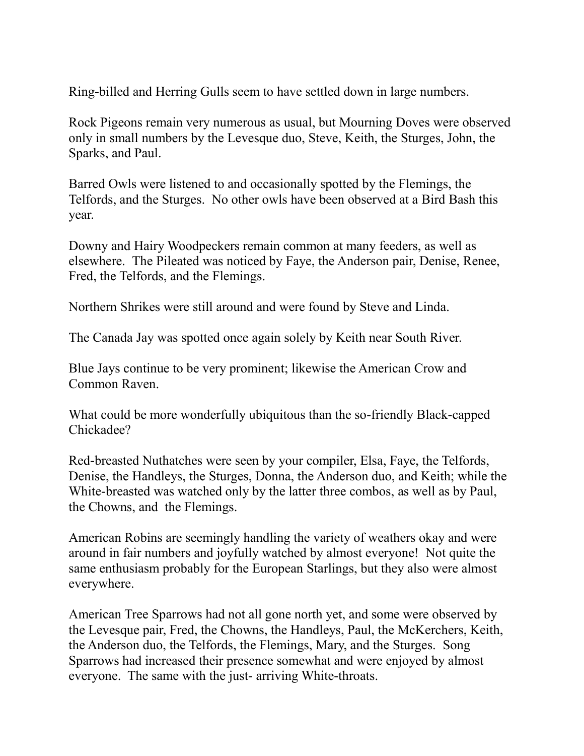Ring-billed and Herring Gulls seem to have settled down in large numbers.

Rock Pigeons remain very numerous as usual, but Mourning Doves were observed only in small numbers by the Levesque duo, Steve, Keith, the Sturges, John, the Sparks, and Paul.

Barred Owls were listened to and occasionally spotted by the Flemings, the Telfords, and the Sturges. No other owls have been observed at a Bird Bash this year.

Downy and Hairy Woodpeckers remain common at many feeders, as well as elsewhere. The Pileated was noticed by Faye, the Anderson pair, Denise, Renee, Fred, the Telfords, and the Flemings.

Northern Shrikes were still around and were found by Steve and Linda.

The Canada Jay was spotted once again solely by Keith near South River.

Blue Jays continue to be very prominent; likewise the American Crow and Common Raven.

What could be more wonderfully ubiquitous than the so-friendly Black-capped Chickadee?

Red-breasted Nuthatches were seen by your compiler, Elsa, Faye, the Telfords, Denise, the Handleys, the Sturges, Donna, the Anderson duo, and Keith; while the White-breasted was watched only by the latter three combos, as well as by Paul, the Chowns, and the Flemings.

American Robins are seemingly handling the variety of weathers okay and were around in fair numbers and joyfully watched by almost everyone! Not quite the same enthusiasm probably for the European Starlings, but they also were almost everywhere.

American Tree Sparrows had not all gone north yet, and some were observed by the Levesque pair, Fred, the Chowns, the Handleys, Paul, the McKerchers, Keith, the Anderson duo, the Telfords, the Flemings, Mary, and the Sturges. Song Sparrows had increased their presence somewhat and were enjoyed by almost everyone. The same with the just- arriving White-throats.